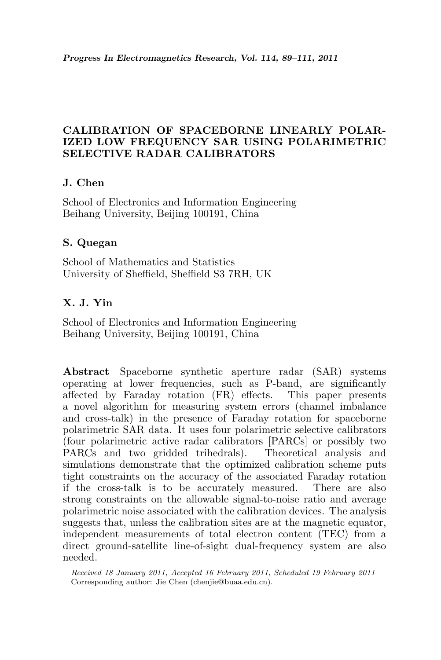## CALIBRATION OF SPACEBORNE LINEARLY POLAR-IZED LOW FREQUENCY SAR USING POLARIMETRIC SELECTIVE RADAR CALIBRATORS

## J. Chen

School of Electronics and Information Engineering Beihang University, Beijing 100191, China

## S. Quegan

School of Mathematics and Statistics University of Sheffield, Sheffield S3 7RH, UK

# X. J. Yin

School of Electronics and Information Engineering Beihang University, Beijing 100191, China

Abstract—Spaceborne synthetic aperture radar (SAR) systems operating at lower frequencies, such as P-band, are significantly affected by Faraday rotation (FR) effects. This paper presents a novel algorithm for measuring system errors (channel imbalance and cross-talk) in the presence of Faraday rotation for spaceborne polarimetric SAR data. It uses four polarimetric selective calibrators (four polarimetric active radar calibrators [PARCs] or possibly two PARCs and two gridded trihedrals). simulations demonstrate that the optimized calibration scheme puts tight constraints on the accuracy of the associated Faraday rotation if the cross-talk is to be accurately measured. There are also strong constraints on the allowable signal-to-noise ratio and average polarimetric noise associated with the calibration devices. The analysis suggests that, unless the calibration sites are at the magnetic equator, independent measurements of total electron content (TEC) from a direct ground-satellite line-of-sight dual-frequency system are also needed.

Received 18 January 2011, Accepted 16 February 2011, Scheduled 19 February 2011 Corresponding author: Jie Chen (chenjie@buaa.edu.cn).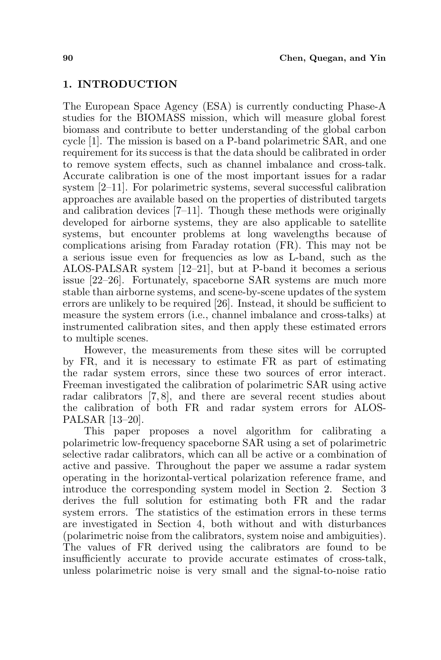#### 1. INTRODUCTION

The European Space Agency (ESA) is currently conducting Phase-A studies for the BIOMASS mission, which will measure global forest biomass and contribute to better understanding of the global carbon cycle [1]. The mission is based on a P-band polarimetric SAR, and one requirement for its success is that the data should be calibrated in order to remove system effects, such as channel imbalance and cross-talk. Accurate calibration is one of the most important issues for a radar system [2–11]. For polarimetric systems, several successful calibration approaches are available based on the properties of distributed targets and calibration devices [7–11]. Though these methods were originally developed for airborne systems, they are also applicable to satellite systems, but encounter problems at long wavelengths because of complications arising from Faraday rotation (FR). This may not be a serious issue even for frequencies as low as L-band, such as the ALOS-PALSAR system [12–21], but at P-band it becomes a serious issue [22–26]. Fortunately, spaceborne SAR systems are much more stable than airborne systems, and scene-by-scene updates of the system errors are unlikely to be required [26]. Instead, it should be sufficient to measure the system errors (i.e., channel imbalance and cross-talks) at instrumented calibration sites, and then apply these estimated errors to multiple scenes.

However, the measurements from these sites will be corrupted by FR, and it is necessary to estimate FR as part of estimating the radar system errors, since these two sources of error interact. Freeman investigated the calibration of polarimetric SAR using active radar calibrators [7, 8], and there are several recent studies about the calibration of both FR and radar system errors for ALOS-PALSAR [13–20].

This paper proposes a novel algorithm for calibrating a polarimetric low-frequency spaceborne SAR using a set of polarimetric selective radar calibrators, which can all be active or a combination of active and passive. Throughout the paper we assume a radar system operating in the horizontal-vertical polarization reference frame, and introduce the corresponding system model in Section 2. Section 3 derives the full solution for estimating both FR and the radar system errors. The statistics of the estimation errors in these terms are investigated in Section 4, both without and with disturbances (polarimetric noise from the calibrators, system noise and ambiguities). The values of FR derived using the calibrators are found to be insufficiently accurate to provide accurate estimates of cross-talk, unless polarimetric noise is very small and the signal-to-noise ratio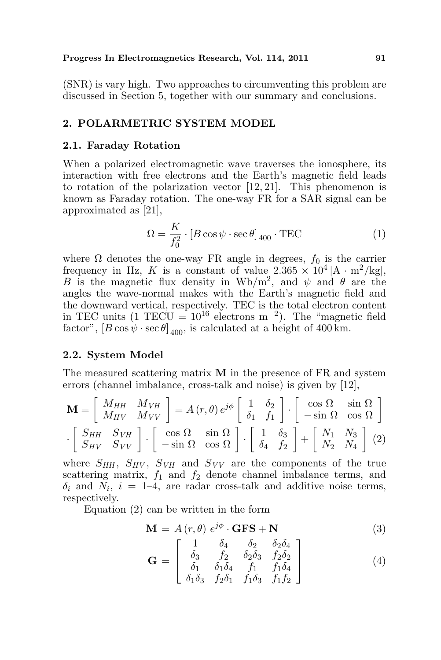(SNR) is vary high. Two approaches to circumventing this problem are discussed in Section 5, together with our summary and conclusions.

## 2. POLARMETRIC SYSTEM MODEL

#### 2.1. Faraday Rotation

When a polarized electromagnetic wave traverses the ionosphere, its interaction with free electrons and the Earth's magnetic field leads to rotation of the polarization vector [12, 21]. This phenomenon is known as Faraday rotation. The one-way FR for a SAR signal can be approximated as [21],

$$
\Omega = \frac{K}{f_0^2} \cdot [B \cos \psi \cdot \sec \theta]_{400} \cdot \text{TEC}
$$
 (1)

where  $\Omega$  denotes the one-way FR angle in degrees,  $f_0$  is the carrier frequency in Hz, K is a constant of value  $2.365 \times 10^4$  [A  $\cdot$  m<sup>2</sup>/kg], B is the magnetic flux density in Wb/m<sup>2</sup>, and  $\psi$  and  $\theta$  are the angles the wave-normal makes with the Earth's magnetic field and the downward vertical, respectively. TEC is the total electron content in TEC units  $(1 \text{ TECU} = 10^{16} \text{ electrons m}^{-2})$ . The "magnetic field factor",  $[B \cos \psi \cdot \sec \theta]_{400}$ , is calculated at a height of 400 km.

#### 2.2. System Model

The measured scattering matrix M in the presence of FR and system errors (channel imbalance, cross-talk and noise) is given by [12],

$$
\mathbf{M} = \begin{bmatrix} M_{HH} & M_{VH} \\ M_{HV} & M_{VV} \end{bmatrix} = A(r, \theta) e^{j\phi} \begin{bmatrix} 1 & \delta_2 \\ \delta_1 & f_1 \end{bmatrix} \cdot \begin{bmatrix} \cos \Omega & \sin \Omega \\ -\sin \Omega & \cos \Omega \end{bmatrix}
$$

$$
\cdot \begin{bmatrix} S_{HH} & S_{VH} \\ S_{HV} & S_{VV} \end{bmatrix} \cdot \begin{bmatrix} \cos \Omega & \sin \Omega \\ -\sin \Omega & \cos \Omega \end{bmatrix} \cdot \begin{bmatrix} 1 & \delta_3 \\ \delta_4 & f_2 \end{bmatrix} + \begin{bmatrix} N_1 & N_3 \\ N_2 & N_4 \end{bmatrix} (2)
$$

where  $S_{HH}$ ,  $S_{HV}$ ,  $S_{VH}$  and  $S_{VV}$  are the components of the true scattering matrix,  $f_1$  and  $f_2$  denote channel imbalance terms, and  $\delta_i$  and  $N_i$ ,  $i = 1-4$ , are radar cross-talk and additive noise terms, respectively.

Equation (2) can be written in the form

$$
\mathbf{M} = A(r, \theta) e^{j\phi} \cdot \mathbf{GFS} + \mathbf{N}
$$
 (3)

$$
\mathbf{G} = \begin{bmatrix} 1 & \delta_4 & \delta_2 & \delta_2 \delta_4 \\ \delta_3 & f_2 & \delta_2 \delta_3 & f_2 \delta_2 \\ \delta_1 & \delta_1 \delta_4 & f_1 & f_1 \delta_4 \\ \delta_1 \delta_3 & f_2 \delta_1 & f_1 \delta_3 & f_1 f_2 \end{bmatrix} \tag{4}
$$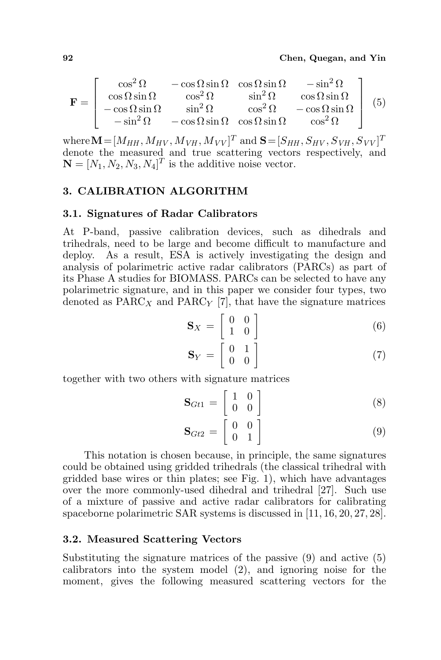$$
\mathbf{F} = \begin{bmatrix} \cos^2 \Omega & -\cos \Omega \sin \Omega & \cos \Omega \sin \Omega & -\sin^2 \Omega \\ \cos \Omega \sin \Omega & \cos^2 \Omega & \sin^2 \Omega & \cos \Omega \sin \Omega \\ -\cos \Omega \sin \Omega & \sin^2 \Omega & \cos^2 \Omega & -\cos \Omega \sin \Omega \\ -\sin^2 \Omega & -\cos \Omega \sin \Omega & \cos \Omega \sin \Omega & \cos^2 \Omega \end{bmatrix} (5)
$$

where  $\mathbf{M} = [M_{HH}, M_{HV}, M_{VH}, M_{VV}]^T$  and  $\mathbf{S} = [S_{HH}, S_{HV}, S_{VH}, S_{VV}]^T$ denote the measured and true scattering vectors respectively, and  $\mathbf{N} = [N_1, N_2, N_3, N_4]^T$  is the additive noise vector.

### 3. CALIBRATION ALGORITHM

#### 3.1. Signatures of Radar Calibrators

At P-band, passive calibration devices, such as dihedrals and trihedrals, need to be large and become difficult to manufacture and deploy. As a result, ESA is actively investigating the design and analysis of polarimetric active radar calibrators (PARCs) as part of its Phase A studies for BIOMASS. PARCs can be selected to have any polarimetric signature, and in this paper we consider four types, two denoted as  $PARC<sub>X</sub>$  and  $PARC<sub>Y</sub>$  [7], that have the signature matrices

$$
\mathbf{S}_X = \begin{bmatrix} 0 & 0 \\ 1 & 0 \end{bmatrix} \tag{6}
$$

$$
\mathbf{S}_Y = \begin{bmatrix} 0 & 1 \\ 0 & 0 \end{bmatrix} \tag{7}
$$

together with two others with signature matrices

$$
\mathbf{S}_{Gt1} = \begin{bmatrix} 1 & 0 \\ 0 & 0 \end{bmatrix} \tag{8}
$$

$$
\mathbf{S}_{Gt2} = \begin{bmatrix} 0 & 0 \\ 0 & 1 \end{bmatrix} \tag{9}
$$

This notation is chosen because, in principle, the same signatures could be obtained using gridded trihedrals (the classical trihedral with gridded base wires or thin plates; see Fig. 1), which have advantages over the more commonly-used dihedral and trihedral [27]. Such use of a mixture of passive and active radar calibrators for calibrating spaceborne polarimetric SAR systems is discussed in [11, 16, 20, 27, 28].

#### 3.2. Measured Scattering Vectors

Substituting the signature matrices of the passive (9) and active (5) calibrators into the system model (2), and ignoring noise for the moment, gives the following measured scattering vectors for the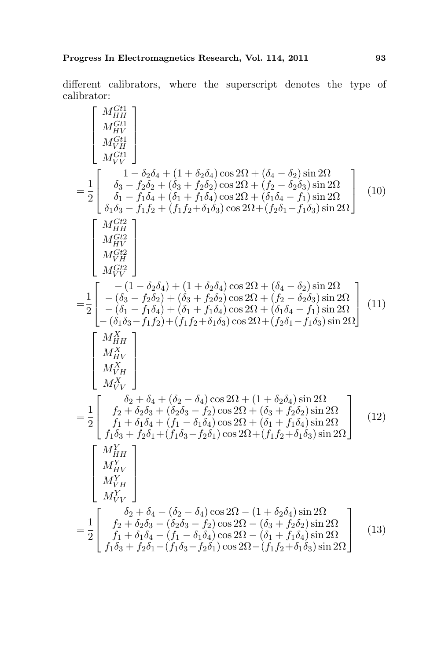different calibrators, where the superscript denotes the type of calibrator:

$$
\begin{bmatrix}\nM_{HH}^{G11} \\
M_{HV}^{G11} \\
M_{V}^{G11} \\
\delta_3 - f_2 \delta_4 + (1 + \delta_2 \delta_4) \cos 2\Omega + (\delta_4 - \delta_2) \sin 2\Omega \\
\delta_1 - f_1 \delta_4 + (\delta_1 + f_1 \delta_4) \cos 2\Omega + (f_2 - \delta_2 \delta_3) \sin 2\Omega \\
\delta_1 \delta_3 - f_1 f_2 + (f_1 f_2 + \delta_1 \delta_3) \cos 2\Omega + (\delta_1 \delta_4 - f_1) \sin 2\Omega\n\end{bmatrix} (10)
$$
\n
$$
= \frac{1}{2} \begin{bmatrix}\nM_{HH}^{G12} \\
M_{VH}^{G12} \\
M_{VH}^{G12} \\
M_{VH}^{G12} \\
M_{VH}^{G12} \\
M_{VH}^{G12} \\
M_{VH}^{G12} \\
M_{VH}^{G12} \\
M_{VH}^{G12} \\
M_{VH}^{G12} \\
M_{VH}^{G12} \\
M_{VH}^{G12} \\
M_{VH}^{G12} \\
M_{VH}^{G12} \\
M_{VH}^{G12} \\
M_{VH}^{G12} \\
M_{VH}^{G12} \\
M_{VH}^{G12} \\
M_{VH}^{G12} \\
M_{VH}^{G12} \\
M_{VH}^{G12} \\
M_{VH}^{G12} \\
M_{VH}^{G12} \\
M_{VH}^{G12} \\
M_{VH}^{G12} \\
M_{VH}^{G12} \\
M_{VH}^{G12} \\
M_{VH}^{G12} \\
M_{VH}^{G12} \\
M_{VH}^{G12} \\
M_{VH}^{G12} \\
M_{VH}^{G12} \\
M_{VH}^{G12} \\
M_{VH}^{G12} \\
M_{VH}^{G12} \\
M_{VH}^{G12} \\
M_{VH}^{G12} \\
M_{VH}^{G12} \\
M_{VH}^{G12} \\
M_{VH}^{G12} \\
M_{VH}^{G12} \\
M_{VH}^{G12} \\
M_{VH}^{G12} \\
M_{VH}^{G12} \\
M_{VH}^{G12} \\
M_{VH}^{G12} \\
M_{VH}^{G12} \\
M_{VH}^{G12}
$$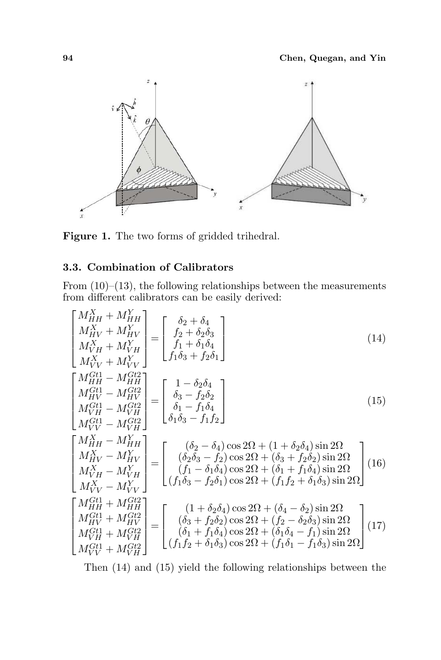

Figure 1. The two forms of gridded trihedral.

# 3.3. Combination of Calibrators

From  $(10)$ – $(13)$ , the following relationships between the measurements from different calibrators can be easily derived:

$$
\begin{bmatrix}\nM_{HH}^{X} + M_{HH}^{Y} \\
M_{HV}^{X} + M_{HV}^{Y} \\
M_{VV}^{X} + M_{VV}^{Y}\n\end{bmatrix} =\n\begin{bmatrix}\n\delta_{2} + \delta_{4} \\
f_{2} + \delta_{2}\delta_{3} \\
f_{1} + \delta_{1}\delta_{4}\n\end{bmatrix}
$$
\n(14)\n
$$
\begin{bmatrix}\nM_{HH}^{G11} - M_{HH}^{G12} \\
M_{VV}^{G11} - M_{HH}^{G12} \\
M_{VH}^{G11} - M_{VH}^{G12} \\
M_{VV}^{G11} - M_{VH}^{G12}\n\end{bmatrix} =\n\begin{bmatrix}\n1 - \delta_{2}\delta_{4} \\
\delta_{3} - f_{2}\delta_{2} \\
\delta_{1} - f_{1}\delta_{4}\n\end{bmatrix}
$$
\n(15)\n
$$
\begin{bmatrix}\nM_{HH}^{G11} - M_{VH}^{G12} \\
M_{VV}^{G11} - M_{VH}^{G12}\n\end{bmatrix} =\n\begin{bmatrix}\n1 - \delta_{2}\delta_{4} \\
\delta_{3} - f_{2}\delta_{2} \\
\delta_{1} - f_{1}\delta_{4}\n\end{bmatrix}
$$
\n(15)\n
$$
\begin{bmatrix}\nM_{HH}^{X} - M_{HH}^{Y} \\
M_{VV}^{Y} - M_{VH}^{Y}\n\end{bmatrix} =\n\begin{bmatrix}\n(\delta_{2} - \delta_{4})\cos 2\Omega + (1 + \delta_{2}\delta_{4})\sin 2\Omega \\
(\delta_{2}\delta_{3} - f_{2})\cos 2\Omega + (\delta_{3} + f_{2}\delta_{2})\sin 2\Omega \\
(M_{VV}^{X} - M_{VV}^{Y}\n\end{bmatrix}
$$
\n(16)\n
$$
\begin{bmatrix}\nM_{HH}^{X} - M_{VH}^{Y} \\
M_{VV}^{X} - M_{VV}^{Y}\n\end{bmatrix} =\n\begin{bmatrix}\n(\delta_{2} - \delta_{4})\cos 2\Omega + (\delta_{1} + \delta_{1}\delta_{4})\sin 2\Omega \\
(f_{1}\delta_{3} - f_{2}\delta_{1})\cos 2\Omega + (f_{1}f_{2} + \delta_{1}\delta_{3})\sin 2\Omega\n\end{bmatrix}
$$
\n

Then (14) and (15) yield the following relationships between the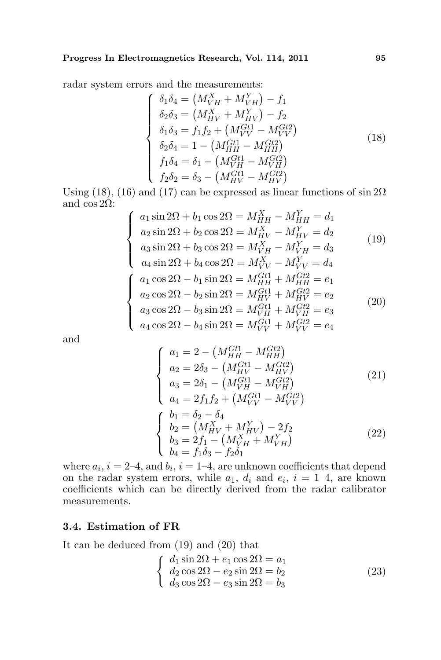radar system errors and the measurements:<br>  $\begin{aligned} \int \delta_1 \delta_4 &= \left( M_{VH}^X + M_{VH}^Y \right) \end{aligned}$ 

$$
\begin{cases}\n\delta_1 \delta_4 = (M_{VH}^X + M_{VH}^Y) - f_1 \\
\delta_2 \delta_3 = (M_{HV}^X + M_{HV}^Y) - f_2 \\
\delta_1 \delta_3 = f_1 f_2 + (M_{VV}^{Gt1} - M_{VV}^{Gt2}) \\
\delta_2 \delta_4 = 1 - (M_{HH}^{Gt1} - M_{HH}^{Gt2}) \\
f_1 \delta_4 = \delta_1 - (M_{VH}^{Gt1} - M_{VH}^{Gt2}) \\
f_2 \delta_2 = \delta_3 - (M_{HV}^{Gt1} - M_{HV}^{Gt2})\n\end{cases}
$$
\n(18)

Using (18), (16) and (17) can be expressed as linear functions of  $\sin 2\Omega$ and  $\cos 2\Omega$ :  $\overline{a}$ 

$$
\begin{cases}\na_1 \sin 2\Omega + b_1 \cos 2\Omega = M_{HH}^X - M_{HH}^Y = d_1 \\
a_2 \sin 2\Omega + b_2 \cos 2\Omega = M_{HV}^X - M_{HV}^Y = d_2 \\
a_3 \sin 2\Omega + b_3 \cos 2\Omega = M_{VH}^X - M_{VH}^Y = d_3 \\
a_4 \sin 2\Omega + b_4 \cos 2\Omega = M_{VV}^X - M_{VV}^Y = d_4 \\
a_1 \cos 2\Omega - b_1 \sin 2\Omega = M_{HH}^{Gt1} + M_{HH}^{Gt2} = e_1 \\
a_2 \cos 2\Omega - b_2 \sin 2\Omega = M_{HV}^{Gt1} + M_{HV}^{Gt2} = e_2 \\
a_3 \cos 2\Omega - b_3 \sin 2\Omega = M_{VH}^{Gt1} + M_{VH}^{Gt2} = e_3\n\end{cases}
$$
\n(20)

and

$$
\begin{cases}\na_1 = 2 - \left(M_{HH}^{Gt1} - M_{HH}^{Gt2}\right) \\
a_2 = 2\delta_3 - \left(M_{HV}^{Gt1} - M_{HV}^{Gt2}\right) \\
a_3 = 2\delta_1 - \left(M_{VH}^{Gt1} - M_{VH}^{Gt2}\right) \\
a_4 = 2f_1f_2 + \left(M_{VV}^{Gt1} - M_{VV}^{Gt2}\right) \\
b_1 = \delta_2 - \delta_4 \\
b_2 = \left(M_{HV}^{X} + M_{HV}^{Y}\right) - 2f_2 \\
b_3 = 2f_1 - \left(M_{VH}^{X} + M_{VH}^{Y}\right) \\
b_4 = f_1\delta_3 - f_2\delta_1\n\end{cases}
$$
\n(22)

where  $a_i$ ,  $i = 2-4$ , and  $b_i$ ,  $i = 1-4$ , are unknown coefficients that depend on the radar system errors, while  $a_1, d_i$  and  $e_i, i = 1-4$ , are known coefficients which can be directly derived from the radar calibrator measurements.

### 3.4. Estimation of FR

It can be deduced from (19) and (20) that

$$
\begin{cases}\n d_1 \sin 2\Omega + e_1 \cos 2\Omega = a_1 \\
 d_2 \cos 2\Omega - e_2 \sin 2\Omega = b_2 \\
 d_3 \cos 2\Omega - e_3 \sin 2\Omega = b_3\n\end{cases}
$$
\n(23)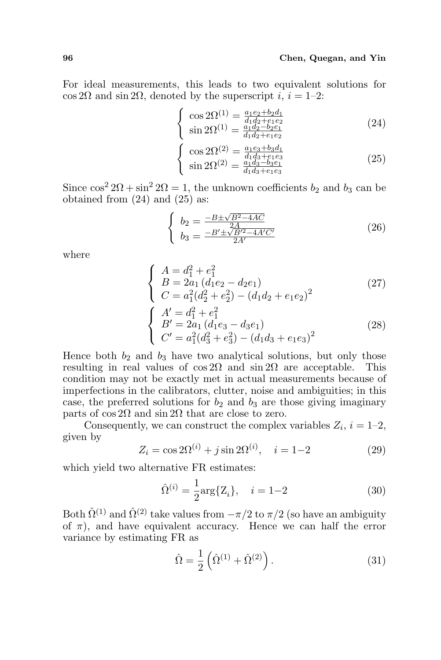For ideal measurements, this leads to two equivalent solutions for cos 2 $\Omega$  and sin 2 $\Omega$ , denoted by the superscript i,  $i = 1-2$ :  $\overline{a}$ 

$$
\begin{cases}\n\cos 2\Omega^{(1)} = \frac{a_1 e_2 + b_2 d_1}{d_1 d_2 + e_1 e_2} \\
\sin 2\Omega^{(1)} = \frac{a_1 d_2 - b_2 e_1}{d_1 d_2 + e_1 e_2} \\
\cos 2\Omega^{(2)} = \frac{a_1 e_3 + b_3 d_1}{d_1 d_3 + e_1 e_2}\n\end{cases}
$$
\n(24)\n
$$
\begin{cases}\n\cos 2\Omega^{(2)} = \frac{a_1 e_3 + b_3 d_1}{d_1 d_3 + e_1 e_2} \\
\sin 2\Omega^{(2)} = \frac{a_1 d_3 - b_3 e_1}{d_1 d_3 - b_3 e_1}\n\end{cases}
$$
\n(25)

$$
\cos 2\Omega^{(2)} = \frac{a_1 e_3 + b_3 d_1}{d_1 d_3 + e_1 e_3}
$$
  
\n
$$
\sin 2\Omega^{(2)} = \frac{a_1 d_3 - b_3 e_1}{d_1 d_3 + e_1 e_3}
$$
\n(25)

Since  $\cos^2 2\Omega + \sin^2 2\Omega = 1$ , the unknown coefficients  $b_2$  and  $b_3$  can be obtained from  $(24)$  and  $(25)$  as:

$$
\begin{cases}\nb_2 = \frac{-B \pm \sqrt{B^2 - 4AC}}{2A} \\
b_3 = \frac{-B' \pm \sqrt{B'^2 - 4A'C'}}{2A'}\n\end{cases}
$$
\n(26)

where

$$
\begin{cases}\nA = d_1^2 + e_1^2 \\
B = 2a_1 (d_1 e_2 - d_2 e_1) \\
C = a_1^2 (d_2^2 + e_2^2) - (d_1 d_2 + e_1 e_2)^2\n\end{cases}
$$
\n(27)  
\n
$$
\begin{cases}\nA' = d_1^2 + e_1^2 \\
B' = 2a_1 (d_1 e_3 - d_3 e_1) \\
C' = a_1^2 (d_3^2 + e_3^2) - (d_1 d_3 + e_1 e_3)^2\n\end{cases}
$$
\n(28)

Hence both  $b_2$  and  $b_3$  have two analytical solutions, but only those resulting in real values of  $\cos 2\Omega$  and  $\sin 2\Omega$  are acceptable. This condition may not be exactly met in actual measurements because of imperfections in the calibrators, clutter, noise and ambiguities; in this case, the preferred solutions for  $b_2$  and  $b_3$  are those giving imaginary parts of cos 2Ω and sin 2Ω that are close to zero.

Consequently, we can construct the complex variables  $Z_i$ ,  $i = 1-2$ , given by

$$
Z_i = \cos 2\Omega^{(i)} + j \sin 2\Omega^{(i)}, \quad i = 1-2 \tag{29}
$$

which yield two alternative FR estimates:

$$
\hat{\Omega}^{(i)} = \frac{1}{2} \text{arg}\{Z_i\}, \quad i = 1 - 2 \tag{30}
$$

Both  $\hat{\Omega}^{(1)}$  and  $\hat{\Omega}^{(2)}$  take values from  $-\pi/2$  to  $\pi/2$  (so have an ambiguity of  $\pi$ ), and have equivalent accuracy. Hence we can half the error variance by estimating FR as

$$
\hat{\Omega} = \frac{1}{2} \left( \hat{\Omega}^{(1)} + \hat{\Omega}^{(2)} \right). \tag{31}
$$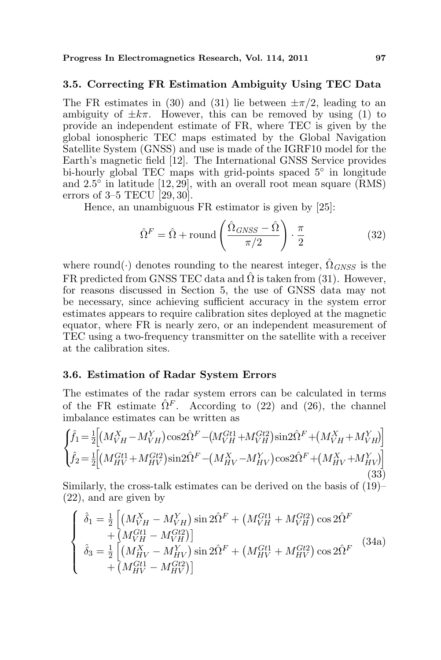### 3.5. Correcting FR Estimation Ambiguity Using TEC Data

The FR estimates in (30) and (31) lie between  $\pm \pi/2$ , leading to an ambiguity of  $\pm k\pi$ . However, this can be removed by using (1) to provide an independent estimate of FR, where TEC is given by the global ionospheric TEC maps estimated by the Global Navigation Satellite System (GNSS) and use is made of the IGRF10 model for the Earth's magnetic field [12]. The International GNSS Service provides bi-hourly global TEC maps with grid-points spaced 5° in longitude and  $2.5^{\circ}$  in latitude [12, 29], with an overall root mean square (RMS) errors of 3–5 TECU [29, 30].

Hence, an unambiguous FR estimator is given by [25]:

$$
\hat{\Omega}^F = \hat{\Omega} + \text{round}\left(\frac{\hat{\Omega}_{GNSS} - \hat{\Omega}}{\pi/2}\right) \cdot \frac{\pi}{2}
$$
 (32)

where round(·) denotes rounding to the nearest integer,  $\Omega_{GNSS}$  is the FR predicted from GNSS TEC data and  $\Omega$  is taken from (31). However, for reasons discussed in Section 5, the use of GNSS data may not be necessary, since achieving sufficient accuracy in the system error estimates appears to require calibration sites deployed at the magnetic equator, where FR is nearly zero, or an independent measurement of TEC using a two-frequency transmitter on the satellite with a receiver at the calibration sites.

### 3.6. Estimation of Radar System Errors

The estimates of the radar system errors can be calculated in terms of the FR estimate  $\hat{\Omega}^F$ . According to (22) and (26), the channel imbalance estimates can be written as Ţ i

$$
\begin{cases}\n\hat{f}_1 = \frac{1}{2} \Big[ (M_{VH}^X - M_{VH}^Y) \cos 2\hat{\Omega}^F - (M_{VH}^{Gt1} + M_{VH}^{Gt2}) \sin 2\hat{\Omega}^F + (M_{VH}^X + M_{VH}^Y) \Big] \\
\hat{f}_2 = \frac{1}{2} \Big[ (M_{HV}^{Gt1} + M_{HV}^{Gt2}) \sin 2\hat{\Omega}^F - (M_{HV}^X - M_{HV}^Y) \cos 2\hat{\Omega}^F + (M_{HV}^X + M_{HV}^Y) \Big] \\
(33)\n\end{cases}
$$

Similarly, the cross-talk estimates can be derived on the basis of (19)– (22), and are given by  $\frac{1}{2}$ 

$$
\begin{cases}\n\hat{\delta}_1 = \frac{1}{2} \left[ \left( M_{VH}^X - M_{VH}^Y \right) \sin 2\hat{\Omega}^F + \left( M_{VH}^{Gt1} + M_{VH}^{Gt2} \right) \cos 2\hat{\Omega}^F \right. \\
\left. + \left( M_{VH}^{Gt1} - M_{VH}^{Gt2} \right) \right] \\
\hat{\delta}_3 = \frac{1}{2} \left[ \left( M_{HV}^X - M_{HV}^Y \right) \sin 2\hat{\Omega}^F + \left( M_{HV}^{Gt1} + M_{HV}^{Gt2} \right) \cos 2\hat{\Omega}^F \right. \\
\left. + \left( M_{HV}^{Gt1} - M_{HV}^{Gt2} \right) \right]\n\end{cases} (34a)
$$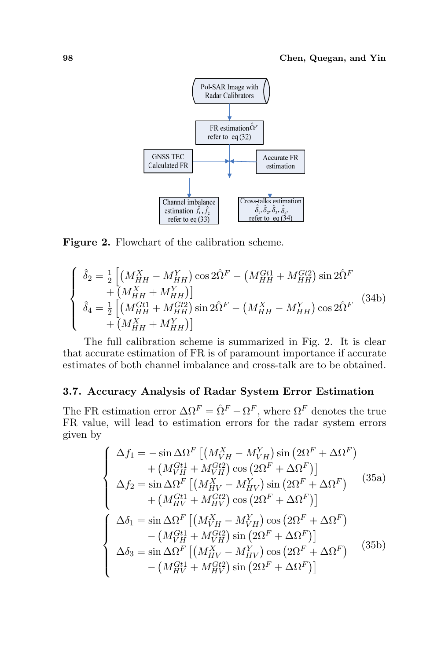

Figure 2. Flowchart of the calibration scheme.

$$
\begin{cases}\n\hat{\delta}_2 = \frac{1}{2} \left[ \left( M_{HH}^X - M_{HH}^Y \right) \cos 2\hat{\Omega}^F - \left( M_{HH}^{Gt1} + M_{HH}^{Gt2} \right) \sin 2\hat{\Omega}^F \right. \\
\left. + \left( M_{HH}^X + M_{HH}^Y \right) \right] \\
\hat{\delta}_4 = \frac{1}{2} \left[ \left( M_{HH}^{Gt1} + M_{HH}^{Gt2} \right) \sin 2\hat{\Omega}^F - \left( M_{HH}^X - M_{HH}^Y \right) \cos 2\hat{\Omega}^F \right. \\
\left. + \left( M_{HH}^X + M_{HH}^Y \right) \right]\n\end{cases} (34b)
$$

The full calibration scheme is summarized in Fig. 2. It is clear that accurate estimation of FR is of paramount importance if accurate estimates of both channel imbalance and cross-talk are to be obtained.

### 3.7. Accuracy Analysis of Radar System Error Estimation

The FR estimation error  $\Delta \Omega^F = \hat{\Omega}^F - \Omega^F$ , where  $\Omega^F$  denotes the true FR value, will lead to estimation errors for the radar system errors given by

$$
\begin{cases}\n\Delta f_1 = -\sin \Delta \Omega^F \left[ \left( M_{VH}^X - M_{VH}^Y \right) \sin \left( 2\Omega^F + \Delta \Omega^F \right) \right. \\
\left. + \left( M_{VH}^{Gt1} + M_{VH}^{Gt2} \right) \cos \left( 2\Omega^F + \Delta \Omega^F \right) \right] \\
\Delta f_2 = \sin \Delta \Omega^F \left[ \left( M_{HV}^X - M_{HV}^Y \right) \sin \left( 2\Omega^F + \Delta \Omega^F \right) \right. \\
\left. + \left( M_{HV}^{Gt1} + M_{HV}^{Gt2} \right) \cos \left( 2\Omega^F + \Delta \Omega^F \right) \right] \\
\Delta \delta_1 = \sin \Delta \Omega^F \left[ \left( M_{VH}^X - M_{VH}^Y \right) \cos \left( 2\Omega^F + \Delta \Omega^F \right) \right. \\
\left. - \left( M_{VH}^{Gt1} + M_{VH}^{Gt2} \right) \sin \left( 2\Omega^F + \Delta \Omega^F \right) \right] \\
\Delta \delta_3 = \sin \Delta \Omega^F \left[ \left( M_{HV}^X - M_{HV}^Y \right) \cos \left( 2\Omega^F + \Delta \Omega^F \right) \right. \\
\left. - \left( M_{HV}^{Gt1} + M_{HV}^{Gt2} \right) \sin \left( 2\Omega^F + \Delta \Omega^F \right) \right]\n\end{cases} (35b)
$$

 $\mathbb{R}^2$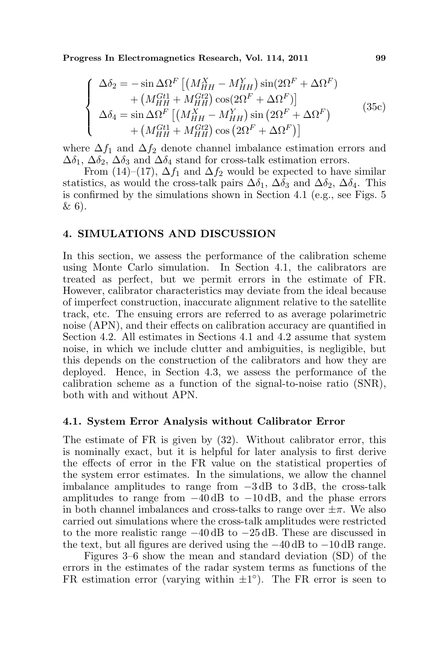Progress In Electromagnetics Research, Vol. 114, 2011 99

$$
\begin{cases}\n\Delta \delta_2 = -\sin \Delta \Omega^F \left[ \left( M_{HH}^X - M_{HH}^Y \right) \sin(2\Omega^F + \Delta \Omega^F) \right. \\
\left. + \left( M_{HH}^{Gt1} + M_{HH}^{Gt2} \right) \cos(2\Omega^F + \Delta \Omega^F) \right] \\
\Delta \delta_4 = \sin \Delta \Omega^F \left[ \left( M_{HH}^X - M_{HH}^Y \right) \sin(2\Omega^F + \Delta \Omega^F) \right. \\
\left. + \left( M_{HH}^{Gt1} + M_{HH}^{Gt2} \right) \cos(2\Omega^F + \Delta \Omega^F) \right]\n\end{cases} \tag{35c}
$$

where  $\Delta f_1$  and  $\Delta f_2$  denote channel imbalance estimation errors and  $\Delta\delta_1$ ,  $\Delta\delta_2$ ,  $\Delta\delta_3$  and  $\Delta\delta_4$  stand for cross-talk estimation errors.

From (14)–(17),  $\Delta f_1$  and  $\Delta f_2$  would be expected to have similar statistics, as would the cross-talk pairs  $\Delta \delta_1$ ,  $\Delta \delta_3$  and  $\Delta \delta_2$ ,  $\Delta \delta_4$ . This is confirmed by the simulations shown in Section 4.1 (e.g., see Figs. 5 & 6).

### 4. SIMULATIONS AND DISCUSSION

In this section, we assess the performance of the calibration scheme using Monte Carlo simulation. In Section 4.1, the calibrators are treated as perfect, but we permit errors in the estimate of FR. However, calibrator characteristics may deviate from the ideal because of imperfect construction, inaccurate alignment relative to the satellite track, etc. The ensuing errors are referred to as average polarimetric noise (APN), and their effects on calibration accuracy are quantified in Section 4.2. All estimates in Sections 4.1 and 4.2 assume that system noise, in which we include clutter and ambiguities, is negligible, but this depends on the construction of the calibrators and how they are deployed. Hence, in Section 4.3, we assess the performance of the calibration scheme as a function of the signal-to-noise ratio (SNR), both with and without APN.

#### 4.1. System Error Analysis without Calibrator Error

The estimate of FR is given by (32). Without calibrator error, this is nominally exact, but it is helpful for later analysis to first derive the effects of error in the FR value on the statistical properties of the system error estimates. In the simulations, we allow the channel imbalance amplitudes to range from −3 dB to 3 dB, the cross-talk amplitudes to range from  $-40 \text{ dB}$  to  $-10 \text{ dB}$ , and the phase errors in both channel imbalances and cross-talks to range over  $\pm \pi$ . We also carried out simulations where the cross-talk amplitudes were restricted to the more realistic range −40 dB to −25 dB. These are discussed in the text, but all figures are derived using the  $-40 \text{ dB}$  to  $-10 \text{ dB}$  range.

Figures 3–6 show the mean and standard deviation (SD) of the errors in the estimates of the radar system terms as functions of the FR estimation error (varying within  $\pm 1^{\circ}$ ). The FR error is seen to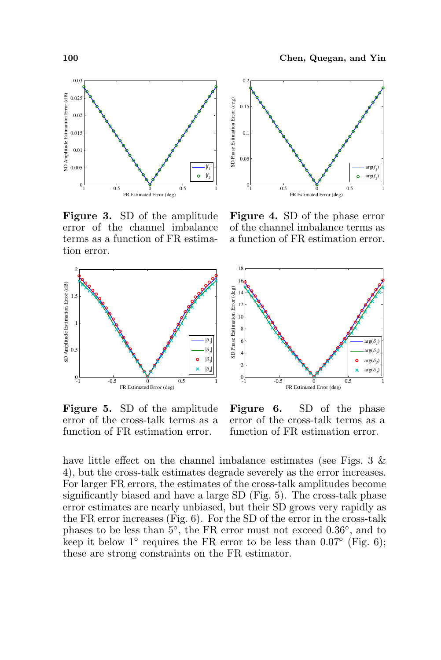

Figure 3. SD of the amplitude error of the channel imbalance terms as a function of FR estimation error.



Figure 5. SD of the amplitude error of the cross-talk terms as a function of FR estimation error.



Figure 4. SD of the phase error of the channel imbalance terms as a function of FR estimation error.



Figure 6. SD of the phase error of the cross-talk terms as a function of FR estimation error.

have little effect on the channel imbalance estimates (see Figs.  $3 \&$ 4), but the cross-talk estimates degrade severely as the error increases. For larger FR errors, the estimates of the cross-talk amplitudes become significantly biased and have a large SD (Fig. 5). The cross-talk phase error estimates are nearly unbiased, but their SD grows very rapidly as the FR error increases (Fig. 6). For the SD of the error in the cross-talk phases to be less than  $5^{\circ}$ , the FR error must not exceed 0.36<sup>°</sup>, and to keep it below 1<sup>°</sup> requires the FR error to be less than  $0.07^\circ$  (Fig. 6); these are strong constraints on the FR estimator.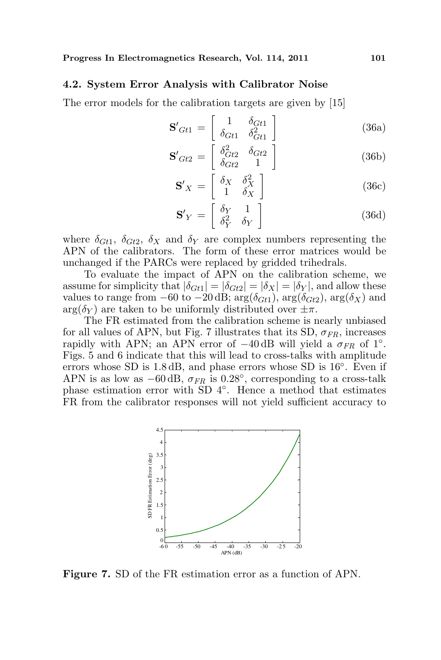#### 4.2. System Error Analysis with Calibrator Noise

The error models for the calibration targets are given by [15]

$$
\mathbf{S'}_{Gt1} = \begin{bmatrix} 1 & \delta_{Gt1} \\ \delta_{Gt1} & \delta_{Gt1}^2 \end{bmatrix}
$$
 (36a)

$$
\mathbf{S'}_{Gt2} = \begin{bmatrix} \delta_{Gt2}^2 & \delta_{Gt2} \\ \delta_{Gt2} & 1 \end{bmatrix}
$$
 (36b)

$$
\mathbf{S}'_{X} = \begin{bmatrix} \delta_{X} & \delta_{X}^{2} \\ 1 & \delta_{X} \end{bmatrix}
$$
 (36c)

$$
\mathbf{S'}_Y = \begin{bmatrix} \delta_Y & 1\\ \delta_Y^2 & \delta_Y \end{bmatrix} \tag{36d}
$$

where  $\delta_{Gt1}$ ,  $\delta_{Gt2}$ ,  $\delta_X$  and  $\delta_Y$  are complex numbers representing the APN of the calibrators. The form of these error matrices would be unchanged if the PARCs were replaced by gridded trihedrals.

To evaluate the impact of APN on the calibration scheme, we assume for simplicity that  $|\delta_{Gt1}| = |\delta_{Gt2}| = |\delta_X| = |\delta_Y|$ , and allow these values to range from  $-60$  to  $-20$  dB;  $arg(\delta_{Gt1})$ ,  $arg(\delta_{Gt2})$ ,  $arg(\delta_X)$  and  $arg(\delta_Y)$  are taken to be uniformly distributed over  $\pm \pi$ .

The FR estimated from the calibration scheme is nearly unbiased for all values of APN, but Fig. 7 illustrates that its SD,  $\sigma_{FR}$ , increases rapidly with APN; an APN error of  $-40$  dB will yield a  $\sigma_{FR}$  of 1°. Figs. 5 and 6 indicate that this will lead to cross-talks with amplitude errors whose SD is 1.8 dB, and phase errors whose SD is  $16^{\circ}$ . Even if APN is as low as  $-60 \text{ dB}$ ,  $\sigma_{FR}$  is 0.28°, corresponding to a cross-talk phase estimation error with SD 4◦ . Hence a method that estimates FR from the calibrator responses will not yield sufficient accuracy to



Figure 7. SD of the FR estimation error as a function of APN.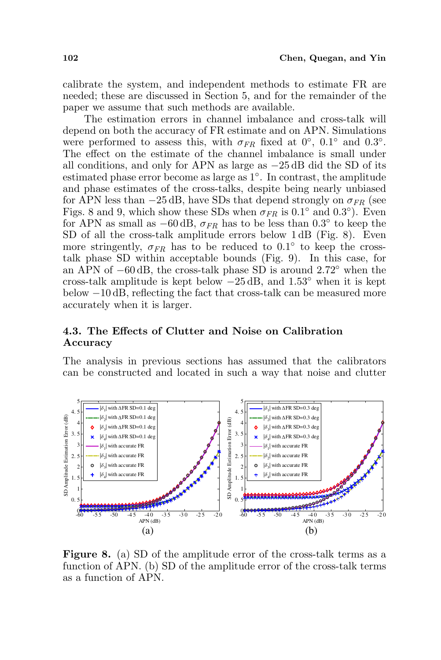calibrate the system, and independent methods to estimate FR are needed; these are discussed in Section 5, and for the remainder of the paper we assume that such methods are available.

The estimation errors in channel imbalance and cross-talk will depend on both the accuracy of FR estimate and on APN. Simulations were performed to assess this, with  $\sigma_{FR}$  fixed at 0°, 0.1° and 0.3°. The effect on the estimate of the channel imbalance is small under all conditions, and only for APN as large as  $-25 \text{ dB}$  did the SD of its estimated phase error become as large as 1◦ . In contrast, the amplitude and phase estimates of the cross-talks, despite being nearly unbiased for APN less than  $-25$  dB, have SDs that depend strongly on  $\sigma_{FR}$  (see Figs. 8 and 9, which show these SDs when  $\sigma_{FR}$  is 0.1° and 0.3°). Even for APN as small as  $-60 \, \text{dB}$ ,  $\sigma_{FR}$  has to be less than 0.3° to keep the SD of all the cross-talk amplitude errors below 1 dB (Fig. 8). Even more stringently,  $\sigma_{FR}$  has to be reduced to 0.1° to keep the crosstalk phase SD within acceptable bounds (Fig. 9). In this case, for an APN of −60 dB, the cross-talk phase SD is around 2.72◦ when the cross-talk amplitude is kept below  $-25$  dB, and  $1.53°$  when it is kept below −10 dB, reflecting the fact that cross-talk can be measured more accurately when it is larger.

# 4.3. The Effects of Clutter and Noise on Calibration Accuracy

The analysis in previous sections has assumed that the calibrators can be constructed and located in such a way that noise and clutter



Figure 8. (a) SD of the amplitude error of the cross-talk terms as a function of APN. (b) SD of the amplitude error of the cross-talk terms as a function of APN.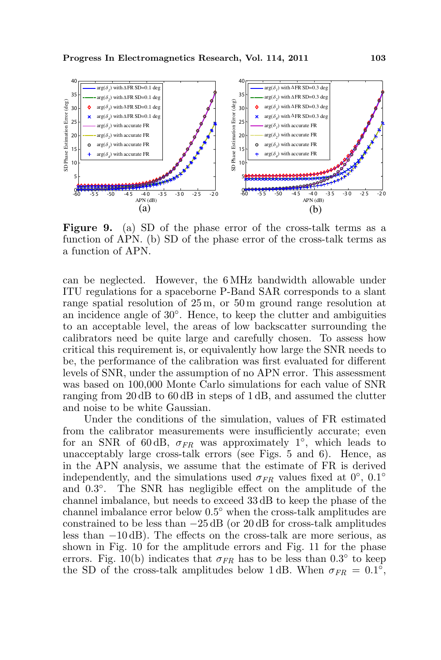

Figure 9. (a) SD of the phase error of the cross-talk terms as a function of APN. (b) SD of the phase error of the cross-talk terms as a function of APN.

can be neglected. However, the 6 MHz bandwidth allowable under ITU regulations for a spaceborne P-Band SAR corresponds to a slant range spatial resolution of 25 m, or 50 m ground range resolution at an incidence angle of 30◦ . Hence, to keep the clutter and ambiguities to an acceptable level, the areas of low backscatter surrounding the calibrators need be quite large and carefully chosen. To assess how critical this requirement is, or equivalently how large the SNR needs to be, the performance of the calibration was first evaluated for different levels of SNR, under the assumption of no APN error. This assessment was based on 100,000 Monte Carlo simulations for each value of SNR ranging from 20 dB to 60 dB in steps of 1 dB, and assumed the clutter and noise to be white Gaussian.

Under the conditions of the simulation, values of FR estimated from the calibrator measurements were insufficiently accurate; even for an SNR of 60dB,  $\sigma_{FR}$  was approximately 1<sup>°</sup>, which leads to unacceptably large cross-talk errors (see Figs. 5 and 6). Hence, as in the APN analysis, we assume that the estimate of FR is derived independently, and the simulations used  $\sigma_{FR}$  values fixed at 0°, 0.1° and 0.3◦ . The SNR has negligible effect on the amplitude of the channel imbalance, but needs to exceed 33 dB to keep the phase of the channel imbalance error below 0.5◦ when the cross-talk amplitudes are constrained to be less than  $-25 \text{ dB}$  (or 20 dB for cross-talk amplitudes less than −10 dB). The effects on the cross-talk are more serious, as shown in Fig. 10 for the amplitude errors and Fig. 11 for the phase errors. Fig. 10(b) indicates that  $\sigma_{FR}$  has to be less than 0.3° to keep the SD of the cross-talk amplitudes below 1 dB. When  $\sigma_{FR} = 0.1^{\circ}$ ,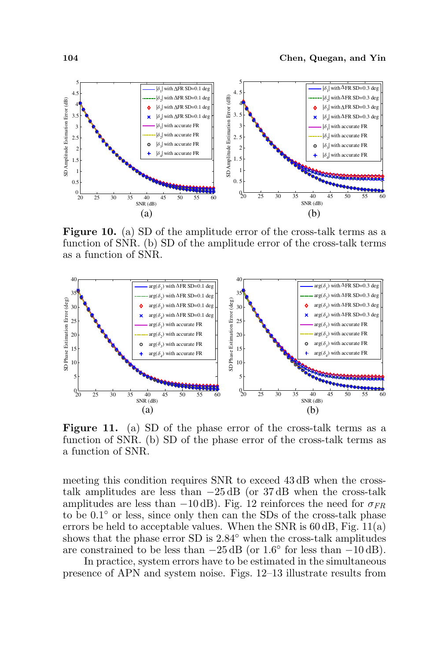

Figure 10. (a) SD of the amplitude error of the cross-talk terms as a function of SNR. (b) SD of the amplitude error of the cross-talk terms as a function of SNR.



Figure 11. (a) SD of the phase error of the cross-talk terms as a function of SNR. (b) SD of the phase error of the cross-talk terms as a function of SNR.

meeting this condition requires SNR to exceed 43 dB when the crosstalk amplitudes are less than  $-25 \text{ dB}$  (or 37 dB when the cross-talk amplitudes are less than −10 dB). Fig. 12 reinforces the need for  $\sigma_{FR}$ to be 0.1◦ or less, since only then can the SDs of the cross-talk phase errors be held to acceptable values. When the SNR is  $60 \, \text{dB}$ , Fig. 11(a) shows that the phase error SD is 2.84 $\textdegree$  when the cross-talk amplitudes are constrained to be less than  $-25 \text{ dB}$  (or  $1.6^{\circ}$  for less than  $-10 \text{ dB}$ ).

In practice, system errors have to be estimated in the simultaneous presence of APN and system noise. Figs. 12–13 illustrate results from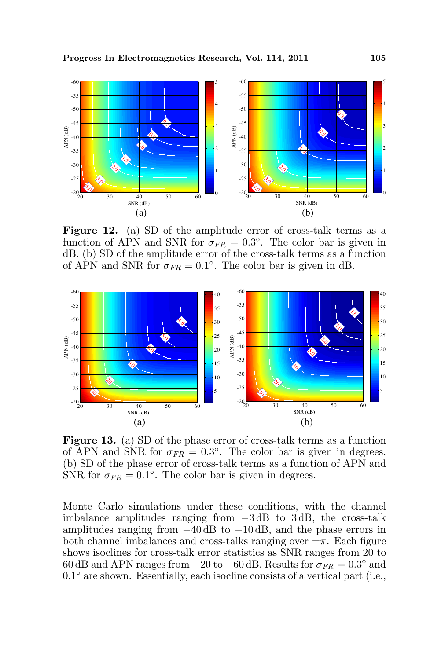

Figure 12. (a) SD of the amplitude error of cross-talk terms as a function of APN and SNR for  $\sigma_{FR} = 0.3^{\circ}$ . The color bar is given in dB. (b) SD of the amplitude error of the cross-talk terms as a function of APN and SNR for  $\sigma_{FR} = 0.1^{\circ}$ . The color bar is given in dB.



Figure 13. (a) SD of the phase error of cross-talk terms as a function of APN and SNR for  $\sigma_{FR} = 0.3^{\circ}$ . The color bar is given in degrees. (b) SD of the phase error of cross-talk terms as a function of APN and SNR for  $\sigma_{FR} = 0.1^{\circ}$ . The color bar is given in degrees.

Monte Carlo simulations under these conditions, with the channel imbalance amplitudes ranging from −3 dB to 3 dB, the cross-talk amplitudes ranging from  $-40$  dB to  $-10$  dB, and the phase errors in both channel imbalances and cross-talks ranging over  $\pm \pi$ . Each figure shows isoclines for cross-talk error statistics as SNR ranges from 20 to 60 dB and APN ranges from  $-20$  to  $-60$  dB. Results for  $\sigma_{FR} = 0.3^{\circ}$  and 0.1◦ are shown. Essentially, each isocline consists of a vertical part (i.e.,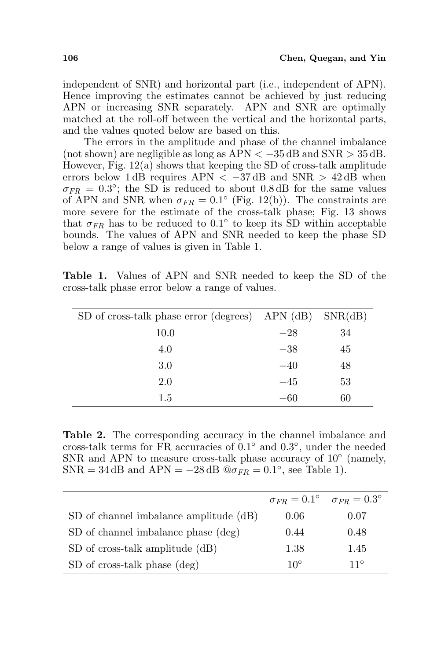independent of SNR) and horizontal part (i.e., independent of APN). Hence improving the estimates cannot be achieved by just reducing APN or increasing SNR separately. APN and SNR are optimally matched at the roll-off between the vertical and the horizontal parts, and the values quoted below are based on this.

The errors in the amplitude and phase of the channel imbalance (not shown) are negligible as long as  $APN < -35$  dB and  $SNR > 35$  dB. However, Fig. 12(a) shows that keeping the SD of cross-talk amplitude errors below 1 dB requires APN  $\langle -37 \text{ dB} \rangle$  and SNR  $> 42 \text{ dB}$  when  $\sigma_{FR} = 0.3^{\circ}$ ; the SD is reduced to about 0.8 dB for the same values of APN and SNR when  $\sigma_{FR} = 0.1^{\circ}$  (Fig. 12(b)). The constraints are more severe for the estimate of the cross-talk phase; Fig. 13 shows that  $\sigma_{FR}$  has to be reduced to 0.1<sup>°</sup> to keep its SD within acceptable bounds. The values of APN and SNR needed to keep the phase SD below a range of values is given in Table 1.

Table 1. Values of APN and SNR needed to keep the SD of the cross-talk phase error below a range of values.

| $SD$ of cross-talk phase error (degrees) APN (dB) $SNR(dB)$ |       |    |
|-------------------------------------------------------------|-------|----|
| 10.0                                                        | $-28$ | 34 |
| 4.0                                                         | $-38$ | 45 |
| 3.0                                                         | $-40$ | 48 |
| 2.0                                                         | $-45$ | 53 |
| 1.5                                                         | $-60$ | 60 |

Table 2. The corresponding accuracy in the channel imbalance and cross-talk terms for FR accuracies of  $0.1°$  and  $0.3°$ , under the needed SNR and APN to measure cross-talk phase accuracy of  $10^{\circ}$  (namely,  $SNR = 34$  dB and  $APN = -28$  dB  $@{\sigma_{FR}} = 0.1^{\circ}$ , see Table 1).

|                                        | $\sigma_{FR} = 0.1^{\circ} \quad \sigma_{FR} = 0.3^{\circ}$ |              |
|----------------------------------------|-------------------------------------------------------------|--------------|
| SD of channel imbalance amplitude (dB) | 0.06                                                        | 0.07         |
| SD of channel imbalance phase (deg)    | 0.44                                                        | 0.48         |
| SD of cross-talk amplitude (dB)        | 1.38                                                        | 1.45         |
| SD of cross-talk phase (deg)           | $10^{\circ}$                                                | $11^{\circ}$ |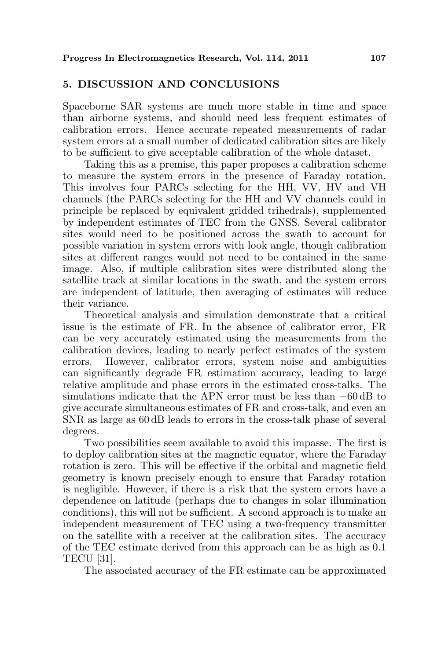## 5. DISCUSSION AND CONCLUSIONS

Spaceborne SAR systems are much more stable in time and space than airborne systems, and should need less frequent estimates of calibration errors. Hence accurate repeated measurements of radar system errors at a small number of dedicated calibration sites are likely to be sufficient to give acceptable calibration of the whole dataset.

Taking this as a premise, this paper proposes a calibration scheme to measure the system errors in the presence of Faraday rotation. This involves four PARCs selecting for the HH, VV, HV and VH channels (the PARCs selecting for the HH and VV channels could in principle be replaced by equivalent gridded trihedrals), supplemented by independent estimates of TEC from the GNSS. Several calibrator sites would need to be positioned across the swath to account for possible variation in system errors with look angle, though calibration sites at different ranges would not need to be contained in the same image. Also, if multiple calibration sites were distributed along the satellite track at similar locations in the swath, and the system errors are independent of latitude, then averaging of estimates will reduce their variance.

Theoretical analysis and simulation demonstrate that a critical issue is the estimate of FR. In the absence of calibrator error, FR can be very accurately estimated using the measurements from the calibration devices, leading to nearly perfect estimates of the system errors. However, calibrator errors, system noise and ambiguities can significantly degrade FR estimation accuracy, leading to large relative amplitude and phase errors in the estimated cross-talks. The simulations indicate that the APN error must be less than −60 dB to give accurate simultaneous estimates of FR and cross-talk, and even an SNR as large as 60 dB leads to errors in the cross-talk phase of several degrees.

Two possibilities seem available to avoid this impasse. The first is to deploy calibration sites at the magnetic equator, where the Faraday rotation is zero. This will be effective if the orbital and magnetic field geometry is known precisely enough to ensure that Faraday rotation is negligible. However, if there is a risk that the system errors have a dependence on latitude (perhaps due to changes in solar illumination conditions), this will not be sufficient. A second approach is to make an independent measurement of TEC using a two-frequency transmitter on the satellite with a receiver at the calibration sites. The accuracy of the TEC estimate derived from this approach can be as high as 0.1 TECU [31].

The associated accuracy of the FR estimate can be approximated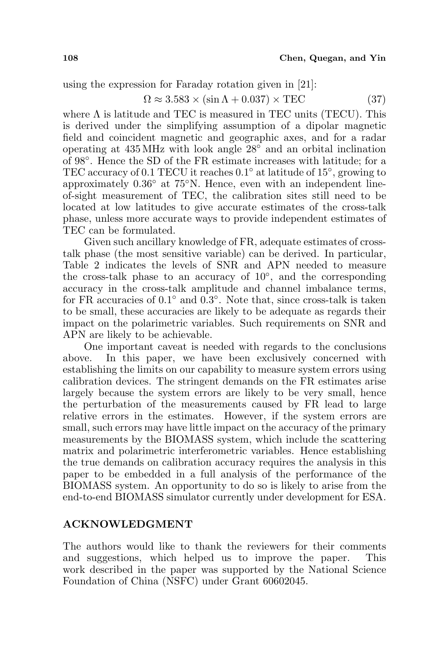using the expression for Faraday rotation given in [21]:

$$
\Omega \approx 3.583 \times (\sin \Lambda + 0.037) \times \text{TEC} \tag{37}
$$

where  $\Lambda$  is latitude and TEC is measured in TEC units (TECU). This is derived under the simplifying assumption of a dipolar magnetic field and coincident magnetic and geographic axes, and for a radar operating at 435 MHz with look angle 28◦ and an orbital inclination of 98◦ . Hence the SD of the FR estimate increases with latitude; for a TEC accuracy of 0.1 TECU it reaches 0.1◦ at latitude of 15◦ , growing to approximately 0.36◦ at 75◦N. Hence, even with an independent lineof-sight measurement of TEC, the calibration sites still need to be located at low latitudes to give accurate estimates of the cross-talk phase, unless more accurate ways to provide independent estimates of TEC can be formulated.

Given such ancillary knowledge of FR, adequate estimates of crosstalk phase (the most sensitive variable) can be derived. In particular, Table 2 indicates the levels of SNR and APN needed to measure the cross-talk phase to an accuracy of  $10^{\circ}$ , and the corresponding accuracy in the cross-talk amplitude and channel imbalance terms, for FR accuracies of  $0.1^\circ$  and  $0.3^\circ$ . Note that, since cross-talk is taken to be small, these accuracies are likely to be adequate as regards their impact on the polarimetric variables. Such requirements on SNR and APN are likely to be achievable.

One important caveat is needed with regards to the conclusions above. In this paper, we have been exclusively concerned with establishing the limits on our capability to measure system errors using calibration devices. The stringent demands on the FR estimates arise largely because the system errors are likely to be very small, hence the perturbation of the measurements caused by FR lead to large relative errors in the estimates. However, if the system errors are small, such errors may have little impact on the accuracy of the primary measurements by the BIOMASS system, which include the scattering matrix and polarimetric interferometric variables. Hence establishing the true demands on calibration accuracy requires the analysis in this paper to be embedded in a full analysis of the performance of the BIOMASS system. An opportunity to do so is likely to arise from the end-to-end BIOMASS simulator currently under development for ESA.

## ACKNOWLEDGMENT

The authors would like to thank the reviewers for their comments and suggestions, which helped us to improve the paper. This work described in the paper was supported by the National Science Foundation of China (NSFC) under Grant 60602045.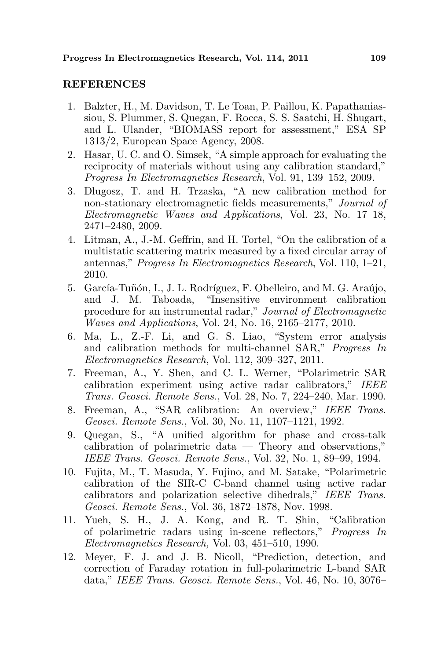#### REFERENCES

- 1. Balzter, H., M. Davidson, T. Le Toan, P. Paillou, K. Papathaniassiou, S. Plummer, S. Quegan, F. Rocca, S. S. Saatchi, H. Shugart, and L. Ulander, "BIOMASS report for assessment," ESA SP 1313/2, European Space Agency, 2008.
- 2. Hasar, U. C. and O. Simsek, "A simple approach for evaluating the reciprocity of materials without using any calibration standard," Progress In Electromagnetics Research, Vol. 91, 139–152, 2009.
- 3. Dlugosz, T. and H. Trzaska, "A new calibration method for non-stationary electromagnetic fields measurements," Journal of Electromagnetic Waves and Applications, Vol. 23, No. 17–18, 2471–2480, 2009.
- 4. Litman, A., J.-M. Geffrin, and H. Tortel, "On the calibration of a multistatic scattering matrix measured by a fixed circular array of antennas," Progress In Electromagnetics Research, Vol. 110, 1–21, 2010.
- 5. García-Tuñón, I., J. L. Rodríguez, F. Obelleiro, and M. G. Araújo, and J. M. Taboada, "Insensitive environment calibration procedure for an instrumental radar," Journal of Electromagnetic Waves and Applications, Vol. 24, No. 16, 2165–2177, 2010.
- 6. Ma, L., Z.-F. Li, and G. S. Liao, "System error analysis and calibration methods for multi-channel SAR," Progress In Electromagnetics Research, Vol. 112, 309–327, 2011.
- 7. Freeman, A., Y. Shen, and C. L. Werner, "Polarimetric SAR calibration experiment using active radar calibrators," IEEE Trans. Geosci. Remote Sens., Vol. 28, No. 7, 224–240, Mar. 1990.
- 8. Freeman, A., "SAR calibration: An overview," IEEE Trans. Geosci. Remote Sens., Vol. 30, No. 11, 1107–1121, 1992.
- 9. Quegan, S., "A unified algorithm for phase and cross-talk calibration of polarimetric data — Theory and observations," IEEE Trans. Geosci. Remote Sens., Vol. 32, No. 1, 89–99, 1994.
- 10. Fujita, M., T. Masuda, Y. Fujino, and M. Satake, "Polarimetric calibration of the SIR-C C-band channel using active radar calibrators and polarization selective dihedrals," IEEE Trans. Geosci. Remote Sens., Vol. 36, 1872–1878, Nov. 1998.
- 11. Yueh, S. H., J. A. Kong, and R. T. Shin, "Calibration of polarimetric radars using in-scene reflectors," Progress In Electromagnetics Research, Vol. 03, 451–510, 1990.
- 12. Meyer, F. J. and J. B. Nicoll, "Prediction, detection, and correction of Faraday rotation in full-polarimetric L-band SAR data," IEEE Trans. Geosci. Remote Sens., Vol. 46, No. 10, 3076–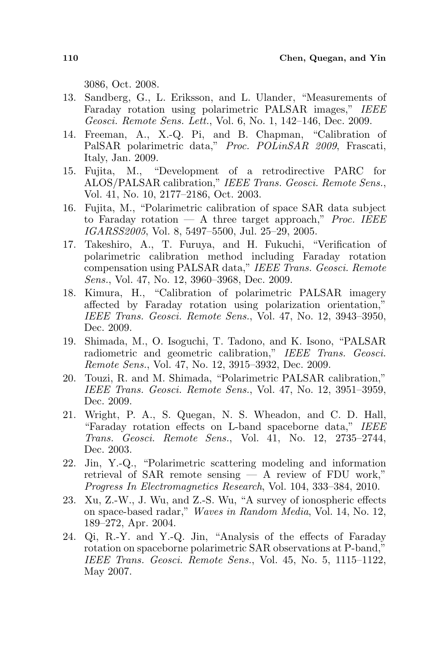3086, Oct. 2008.

- 13. Sandberg, G., L. Eriksson, and L. Ulander, "Measurements of Faraday rotation using polarimetric PALSAR images," IEEE Geosci. Remote Sens. Lett., Vol. 6, No. 1, 142–146, Dec. 2009.
- 14. Freeman, A., X.-Q. Pi, and B. Chapman, "Calibration of PalSAR polarimetric data," Proc. POLinSAR 2009, Frascati, Italy, Jan. 2009.
- 15. Fujita, M., "Development of a retrodirective PARC for ALOS/PALSAR calibration," IEEE Trans. Geosci. Remote Sens., Vol. 41, No. 10, 2177–2186, Oct. 2003.
- 16. Fujita, M., "Polarimetric calibration of space SAR data subject to Faraday rotation  $-$  A three target approach," *Proc. IEEE* IGARSS2005, Vol. 8, 5497–5500, Jul. 25–29, 2005.
- 17. Takeshiro, A., T. Furuya, and H. Fukuchi, "Verification of polarimetric calibration method including Faraday rotation compensation using PALSAR data," IEEE Trans. Geosci. Remote Sens., Vol. 47, No. 12, 3960–3968, Dec. 2009.
- 18. Kimura, H., "Calibration of polarimetric PALSAR imagery affected by Faraday rotation using polarization orientation," IEEE Trans. Geosci. Remote Sens., Vol. 47, No. 12, 3943–3950, Dec. 2009.
- 19. Shimada, M., O. Isoguchi, T. Tadono, and K. Isono, "PALSAR radiometric and geometric calibration," IEEE Trans. Geosci. Remote Sens., Vol. 47, No. 12, 3915–3932, Dec. 2009.
- 20. Touzi, R. and M. Shimada, "Polarimetric PALSAR calibration," IEEE Trans. Geosci. Remote Sens., Vol. 47, No. 12, 3951–3959, Dec. 2009.
- 21. Wright, P. A., S. Quegan, N. S. Wheadon, and C. D. Hall, "Faraday rotation effects on L-band spaceborne data," IEEE Trans. Geosci. Remote Sens., Vol. 41, No. 12, 2735–2744, Dec. 2003.
- 22. Jin, Y.-Q., "Polarimetric scattering modeling and information retrieval of SAR remote sensing — A review of FDU work," Progress In Electromagnetics Research, Vol. 104, 333–384, 2010.
- 23. Xu, Z.-W., J. Wu, and Z.-S. Wu, "A survey of ionospheric effects on space-based radar," Waves in Random Media, Vol. 14, No. 12, 189–272, Apr. 2004.
- 24. Qi, R.-Y. and Y.-Q. Jin, "Analysis of the effects of Faraday rotation on spaceborne polarimetric SAR observations at P-band," IEEE Trans. Geosci. Remote Sens., Vol. 45, No. 5, 1115–1122, May 2007.